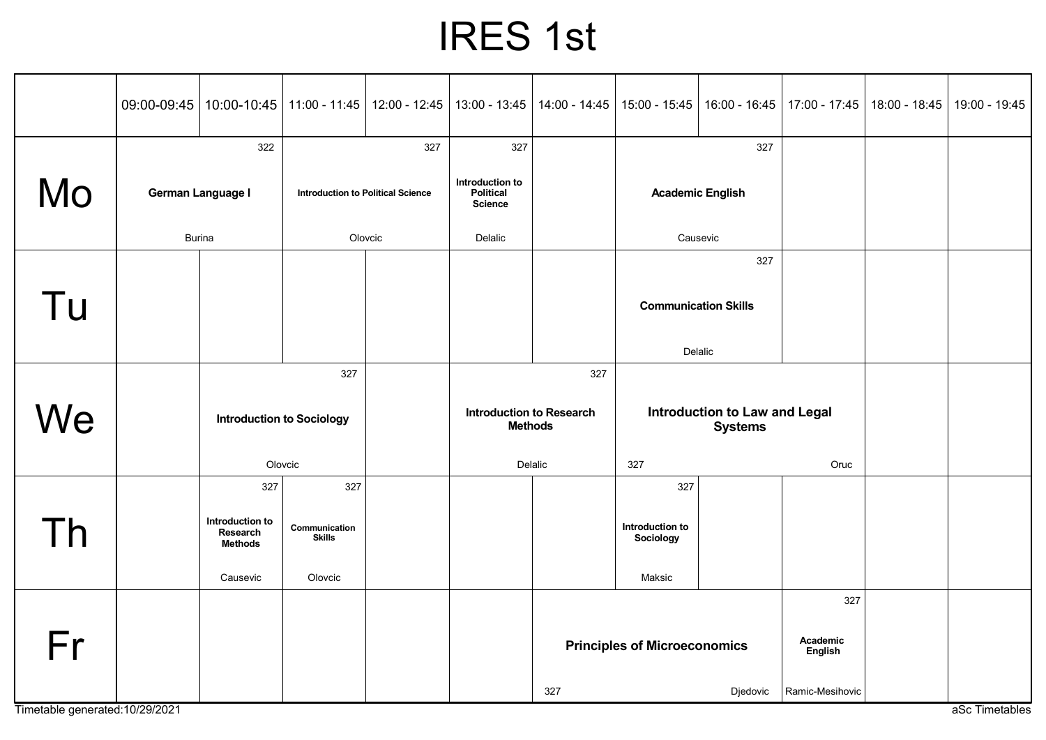## IRES 1st

|                                 |                   | 09:00-09:45   10:00-10:45   11:00 - 11:45   12:00 - 12:45 |                                          |  | 13:00 - 13:45                                     | 14:00 - 14:45                                                     | 15:00 - 15:45                                   |  | 16:00 - 16:45   17:00 - 17:45 | 18:00 - 18:45 | 19:00 - 19:45  |
|---------------------------------|-------------------|-----------------------------------------------------------|------------------------------------------|--|---------------------------------------------------|-------------------------------------------------------------------|-------------------------------------------------|--|-------------------------------|---------------|----------------|
|                                 | 322               |                                                           | 327                                      |  | 327                                               |                                                                   | 327                                             |  |                               |               |                |
| Mo                              | German Language I |                                                           | <b>Introduction to Political Science</b> |  | Introduction to<br>Political<br><b>Science</b>    |                                                                   | <b>Academic English</b>                         |  |                               |               |                |
|                                 | <b>Burina</b>     |                                                           | Olovcic                                  |  | Delalic                                           |                                                                   | Causevic                                        |  |                               |               |                |
|                                 |                   |                                                           |                                          |  |                                                   |                                                                   | 327                                             |  |                               |               |                |
| Tu                              |                   |                                                           |                                          |  |                                                   |                                                                   | <b>Communication Skills</b>                     |  |                               |               |                |
|                                 |                   |                                                           |                                          |  |                                                   |                                                                   | Delalic                                         |  |                               |               |                |
|                                 |                   | 327                                                       |                                          |  | 327                                               |                                                                   |                                                 |  |                               |               |                |
| We                              | Olovcic           |                                                           | <b>Introduction to Sociology</b>         |  | <b>Introduction to Research</b><br><b>Methods</b> |                                                                   | Introduction to Law and Legal<br><b>Systems</b> |  |                               |               |                |
|                                 |                   |                                                           |                                          |  | Delalic                                           |                                                                   | 327                                             |  | Oruc                          |               |                |
|                                 |                   | 327                                                       | 327                                      |  |                                                   |                                                                   | 327                                             |  |                               |               |                |
| Th                              |                   | Introduction to<br>Research<br><b>Methods</b>             | Communication<br><b>Skills</b>           |  |                                                   |                                                                   | Introduction to<br>Sociology                    |  |                               |               |                |
|                                 |                   | Causevic                                                  | Olovcic                                  |  |                                                   |                                                                   | Maksic                                          |  |                               |               |                |
|                                 |                   |                                                           |                                          |  |                                                   | 327<br>Academic<br><b>Principles of Microeconomics</b><br>English |                                                 |  |                               |               |                |
| Fr                              |                   |                                                           |                                          |  |                                                   |                                                                   |                                                 |  |                               |               |                |
| Timetable generated: 10/29/2021 |                   |                                                           |                                          |  |                                                   | 327                                                               | Djedovic                                        |  | Ramic-Mesihovic               |               | aSc Timetables |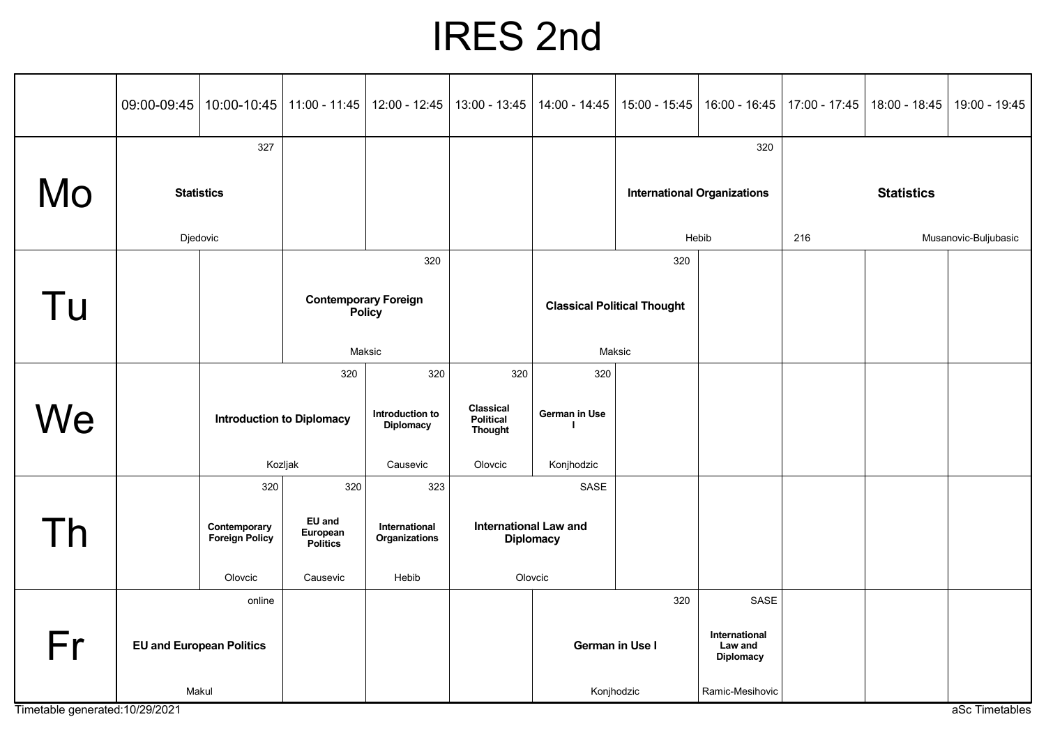## IRES 2nd

|                                 |                                           | 09:00-09:45   10:00-10:45               | 11:00 - 11:45                                | $12:00 - 12:45$                                        | 13:00 - 13:45                                                     | 14:00 - 14:45                      | 15:00 - 15:45                      | $16:00 - 16:45$                                      | 17:00 - 17:45               | 18:00 - 18:45     | 19:00 - 19:45  |
|---------------------------------|-------------------------------------------|-----------------------------------------|----------------------------------------------|--------------------------------------------------------|-------------------------------------------------------------------|------------------------------------|------------------------------------|------------------------------------------------------|-----------------------------|-------------------|----------------|
| Mo                              | 327<br><b>Statistics</b>                  |                                         |                                              |                                                        |                                                                   |                                    | <b>International Organizations</b> | 320                                                  |                             | <b>Statistics</b> |                |
|                                 | Djedovic                                  |                                         |                                              |                                                        |                                                                   |                                    | Hebib                              |                                                      | 216<br>Musanovic-Buljubasic |                   |                |
|                                 |                                           |                                         | 320                                          |                                                        |                                                                   | 320                                |                                    |                                                      |                             |                   |                |
| Tu                              |                                           |                                         | <b>Contemporary Foreign</b><br><b>Policy</b> |                                                        |                                                                   | <b>Classical Political Thought</b> |                                    |                                                      |                             |                   |                |
|                                 |                                           |                                         |                                              | Maksic                                                 |                                                                   | Maksic                             |                                    |                                                      |                             |                   |                |
| We                              |                                           | 320<br><b>Introduction to Diplomacy</b> |                                              | 320<br>Introduction to<br><b>Diplomacy</b><br>Causevic | 320<br>Classical<br><b>Political</b><br><b>Thought</b><br>Olovcic | 320<br>German in Use<br>Konjhodzic |                                    |                                                      |                             |                   |                |
|                                 |                                           | Kozljak<br>320<br>320                   |                                              | 323                                                    |                                                                   | SASE                               |                                    |                                                      |                             |                   |                |
| Th                              |                                           | Contemporary<br><b>Foreign Policy</b>   | <b>EU</b> and<br>European<br><b>Politics</b> | International<br>Organizations                         | <b>International Law and</b>                                      | <b>Diplomacy</b>                   |                                    |                                                      |                             |                   |                |
|                                 |                                           | Olovcic                                 | Causevic                                     | Hebib                                                  |                                                                   | Olovcic                            |                                    |                                                      |                             |                   |                |
| Fr                              | online<br><b>EU and European Politics</b> |                                         |                                              |                                                        |                                                                   | German in Use I                    | 320                                | SASE<br>International<br>Law and<br><b>Diplomacy</b> |                             |                   |                |
| Timetable generated: 10/29/2021 | Makul                                     |                                         |                                              |                                                        |                                                                   | Konjhodzic                         |                                    | Ramic-Mesihovic                                      |                             |                   | aSc Timetables |